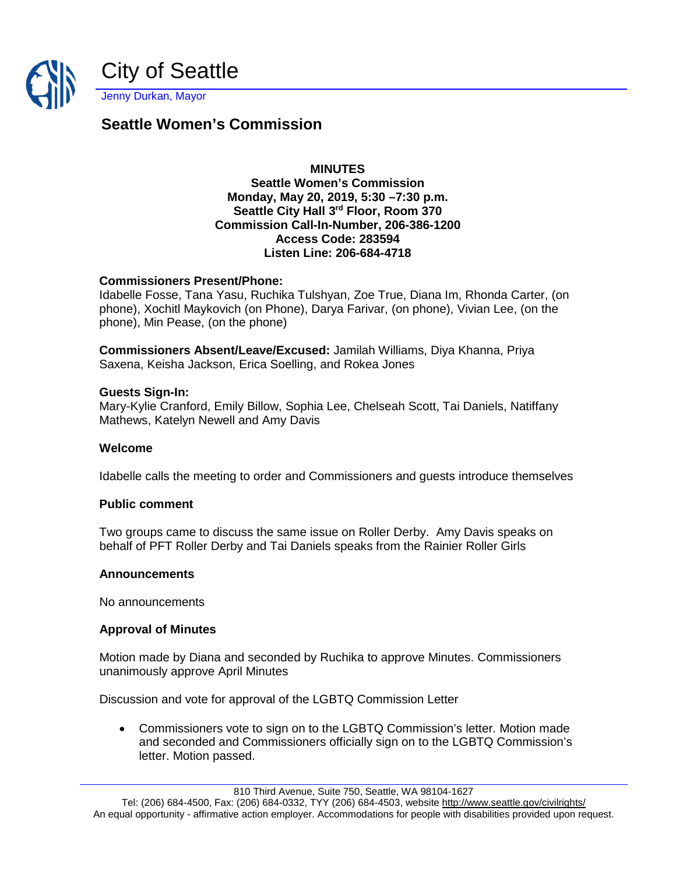

# **Seattle Women's Commission**

# **MINUTES**

### **Seattle Women's Commission Monday, May 20, 2019, 5:30 –7:30 p.m. Seattle City Hall 3rd Floor, Room 370 Commission Call-In-Number, 206-386-1200 Access Code: 283594 Listen Line: 206-684-4718**

## **Commissioners Present/Phone:**

Idabelle Fosse, Tana Yasu, Ruchika Tulshyan, Zoe True, Diana Im, Rhonda Carter, (on phone), Xochitl Maykovich (on Phone), Darya Farivar, (on phone), Vivian Lee, (on the phone), Min Pease, (on the phone)

**Commissioners Absent/Leave/Excused:** Jamilah Williams, Diya Khanna, Priya Saxena, Keisha Jackson, Erica Soelling, and Rokea Jones

#### **Guests Sign-In:**

Mary-Kylie Cranford, Emily Billow, Sophia Lee, Chelseah Scott, Tai Daniels, Natiffany Mathews, Katelyn Newell and Amy Davis

#### **Welcome**

Idabelle calls the meeting to order and Commissioners and guests introduce themselves

## **Public comment**

Two groups came to discuss the same issue on Roller Derby. Amy Davis speaks on behalf of PFT Roller Derby and Tai Daniels speaks from the Rainier Roller Girls

#### **Announcements**

No announcements

## **Approval of Minutes**

Motion made by Diana and seconded by Ruchika to approve Minutes. Commissioners unanimously approve April Minutes

Discussion and vote for approval of the LGBTQ Commission Letter

• Commissioners vote to sign on to the LGBTQ Commission's letter. Motion made and seconded and Commissioners officially sign on to the LGBTQ Commission's letter. Motion passed.

810 Third Avenue, Suite 750, Seattle, WA 98104-1627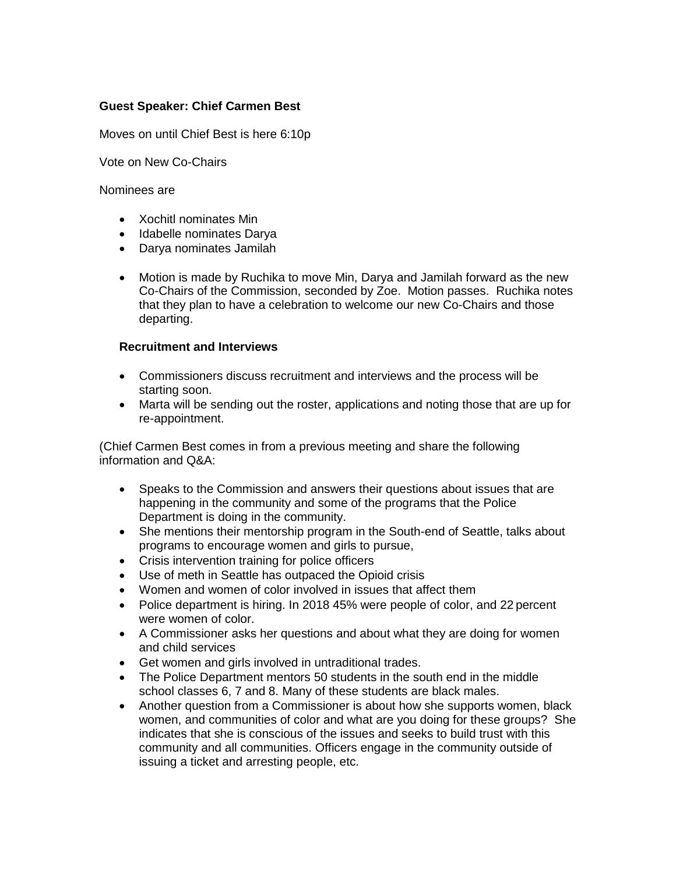## **Guest Speaker: Chief Carmen Best**

Moves on until Chief Best is here 6:10p

Vote on New Co-Chairs

#### Nominees are

- Xochitl nominates Min
- Idabelle nominates Darya
- Darya nominates Jamilah
- Motion is made by Ruchika to move Min, Darya and Jamilah forward as the new Co-Chairs of the Commission, seconded by Zoe. Motion passes. Ruchika notes that they plan to have a celebration to welcome our new Co-Chairs and those departing.

## **Recruitment and Interviews**

- Commissioners discuss recruitment and interviews and the process will be starting soon.
- Marta will be sending out the roster, applications and noting those that are up for re-appointment.

(Chief Carmen Best comes in from a previous meeting and share the following information and Q&A:

- Speaks to the Commission and answers their questions about issues that are happening in the community and some of the programs that the Police Department is doing in the community.
- She mentions their mentorship program in the South-end of Seattle, talks about programs to encourage women and girls to pursue,
- Crisis intervention training for police officers
- Use of meth in Seattle has outpaced the Opioid crisis
- Women and women of color involved in issues that affect them
- Police department is hiring. In 2018 45% were people of color, and 22 percent were women of color.
- A Commissioner asks her questions and about what they are doing for women and child services
- Get women and girls involved in untraditional trades.
- The Police Department mentors 50 students in the south end in the middle school classes 6, 7 and 8. Many of these students are black males.
- Another question from a Commissioner is about how she supports women, black women, and communities of color and what are you doing for these groups? She indicates that she is conscious of the issues and seeks to build trust with this community and all communities. Officers engage in the community outside of issuing a ticket and arresting people, etc.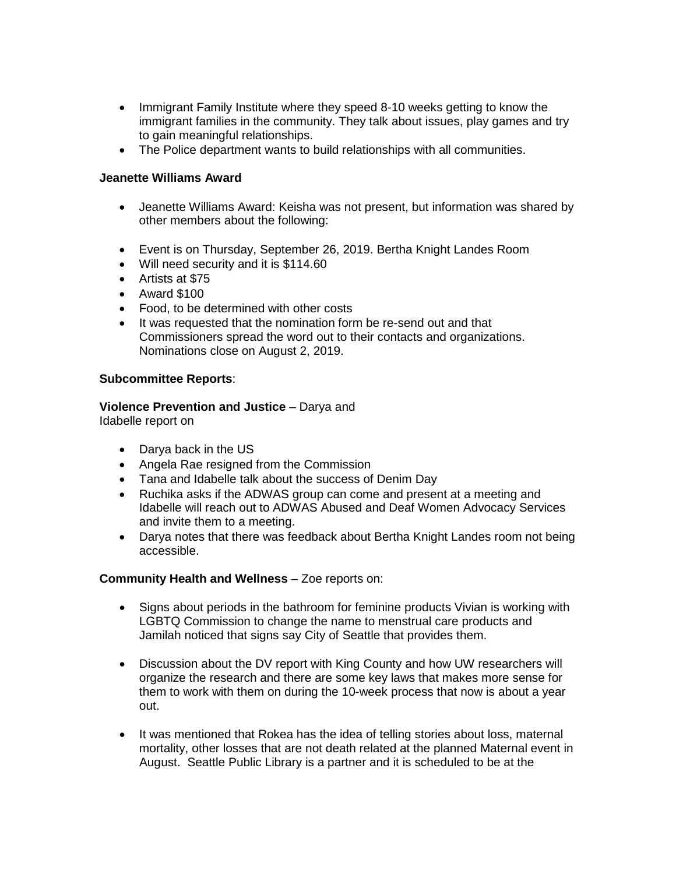- Immigrant Family Institute where they speed 8-10 weeks getting to know the immigrant families in the community. They talk about issues, play games and try to gain meaningful relationships.
- The Police department wants to build relationships with all communities.

## **Jeanette Williams Award**

- Jeanette Williams Award: Keisha was not present, but information was shared by other members about the following:
- Event is on Thursday, September 26, 2019. Bertha Knight Landes Room
- Will need security and it is \$114.60
- Artists at \$75
- Award \$100
- Food, to be determined with other costs
- It was requested that the nomination form be re-send out and that Commissioners spread the word out to their contacts and organizations. Nominations close on August 2, 2019.

#### **Subcommittee Reports**:

# **Violence Prevention and Justice** – Darya and

Idabelle report on

- Darya back in the US
- Angela Rae resigned from the Commission
- Tana and Idabelle talk about the success of Denim Day
- Ruchika asks if the ADWAS group can come and present at a meeting and Idabelle will reach out to ADWAS Abused and Deaf Women Advocacy Services and invite them to a meeting.
- Darya notes that there was feedback about Bertha Knight Landes room not being accessible.

#### **Community Health and Wellness** – Zoe reports on:

- Signs about periods in the bathroom for feminine products Vivian is working with LGBTQ Commission to change the name to menstrual care products and Jamilah noticed that signs say City of Seattle that provides them.
- Discussion about the DV report with King County and how UW researchers will organize the research and there are some key laws that makes more sense for them to work with them on during the 10-week process that now is about a year out.
- It was mentioned that Rokea has the idea of telling stories about loss, maternal mortality, other losses that are not death related at the planned Maternal event in August. Seattle Public Library is a partner and it is scheduled to be at the